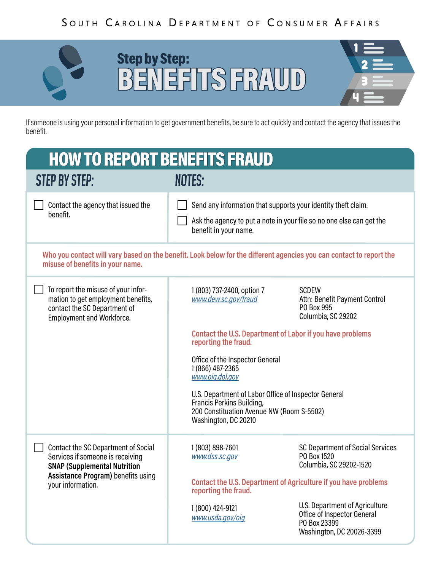

## **IS THEFT SPOTLIGHT:** CHECKS BENEFITS FRAUD



benefit.

| <b>HOW TO REPORT BENEFITS FRAUD</b>                                                                                                                                       |                                                                                                                                                                |                                                                                                            |
|---------------------------------------------------------------------------------------------------------------------------------------------------------------------------|----------------------------------------------------------------------------------------------------------------------------------------------------------------|------------------------------------------------------------------------------------------------------------|
| <b>STEP BY STEP:</b>                                                                                                                                                      | NOTES:                                                                                                                                                         |                                                                                                            |
| Contact the agency that issued the<br>benefit.                                                                                                                            | Send any information that supports your identity theft claim.<br>Ask the agency to put a note in your file so no one else can get the<br>benefit in your name. |                                                                                                            |
| misuse of benefits in your name.                                                                                                                                          | Who you contact will vary based on the benefit. Look below for the different agencies you can contact to report the                                            |                                                                                                            |
| To report the misuse of your infor-<br>mation to get employment benefits,<br>contact the SC Department of<br><b>Employment and Workforce.</b>                             | 1 (803) 737-2400, option 7<br>www.dew.sc.gov/fraud                                                                                                             | <b>SCDEW</b><br>Attn: Benefit Payment Control<br>PO Box 995<br>Columbia, SC 29202                          |
|                                                                                                                                                                           | <b>Contact the U.S. Department of Labor if you have problems</b><br>reporting the fraud.                                                                       |                                                                                                            |
|                                                                                                                                                                           | Office of the Inspector General<br>1 (866) 487-2365<br>www.oig.dol.gov                                                                                         |                                                                                                            |
|                                                                                                                                                                           | U.S. Department of Labor Office of Inspector General<br>Francis Perkins Building,<br>200 Constituation Avenue NW (Room S-5502)<br>Washington, DC 20210         |                                                                                                            |
| Contact the SC Department of Social<br>Services if someone is receiving<br><b>SNAP (Supplemental Nutrition</b><br>Assistance Program) benefits using<br>your information. | 1 (803) 898-7601<br>www.dss.sc.gov                                                                                                                             | <b>SC Department of Social Services</b><br>PO Box 1520<br>Columbia, SC 29202-1520                          |
|                                                                                                                                                                           | <b>Contact the U.S. Department of Agriculture if you have problems</b><br>reporting the fraud.                                                                 |                                                                                                            |
|                                                                                                                                                                           | 1 (800) 424-9121<br>www.usda.gov/oig                                                                                                                           | U.S. Department of Agriculture<br>Office of Inspector General<br>PO Box 23399<br>Washington, DC 20026-3399 |